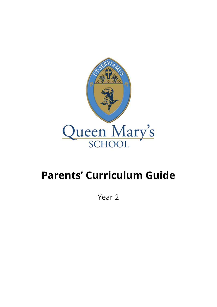

## **Parents' Curriculum Guide**

Year 2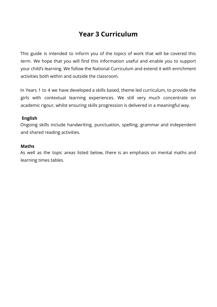## **Year 3 Curriculum**

This guide is intended to inform you of the topics of work that will be covered this term. We hope that you will find this information useful and enable you to support your child's learning. We follow the National Curriculum and extend it with enrichment activities both within and outside the classroom.

In Years 1 to 4 we have developed a skills based, theme led curriculum, to provide the girls with contextual learning experiences. We still very much concentrate on academic rigour, whilst ensuring skills progression is delivered in a meaningful way.

## **English**

Ongoing skills include handwriting, punctuation, spelling, grammar and independent and shared reading activities.

## **Maths**

As well as the topic areas listed below, there is an emphasis on mental maths and learning times tables.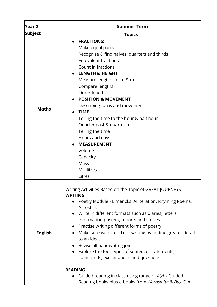| Year 2         | <b>Summer Term</b>                                                                                                                                                                                                                                                                                                                                                                                                                                                                                                                                                                                                                                                                   |
|----------------|--------------------------------------------------------------------------------------------------------------------------------------------------------------------------------------------------------------------------------------------------------------------------------------------------------------------------------------------------------------------------------------------------------------------------------------------------------------------------------------------------------------------------------------------------------------------------------------------------------------------------------------------------------------------------------------|
| Subject        | <b>Topics</b>                                                                                                                                                                                                                                                                                                                                                                                                                                                                                                                                                                                                                                                                        |
| <b>Maths</b>   | <b>FRACTIONS:</b><br>$\bullet$<br>Make equal parts<br>Recognise & find halves, quarters and thirds<br><b>Equivalent fractions</b><br>Count in fractions<br><b>LENGTH &amp; HEIGHT</b><br>Measure lengths in cm & m<br>Compare lengths<br>Order lengths<br><b>POSITION &amp; MOVEMENT</b><br>Describing turns and movement<br><b>TIME</b><br>Telling the time to the hour & half hour<br>Quarter past & quarter to<br>Telling the time<br>Hours and days<br><b>MEASUREMENT</b><br>Volume<br>Capacity<br>Mass<br>Millilitres<br>Litres                                                                                                                                                 |
| <b>English</b> | Writing Activities Based on the Topic of GREAT JOURNEYS<br>WRITING<br>Poetry Module - Limericks, Alliteration, Rhyming Poems,<br>$\bullet$<br><b>Acrostics</b><br>Write in different formats such as diaries, letters,<br>information posters, reports and stories<br>• Practise writing different forms of poetry.<br>Make sure we extend our writing by adding greater detail<br>$\bullet$<br>to an idea.<br>Revise all handwriting joins<br>Explore the four types of sentence: statements,<br>$\bullet$<br>commands, exclamations and questions<br><b>READING</b><br>Guided reading in class using range of Rigby Guided<br>Reading books plus e-books from Wordsmith & Bug Club |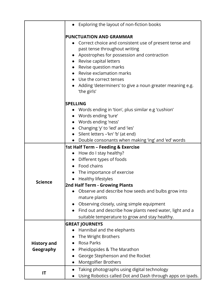|                    | Exploring the layout of non-fiction books                               |
|--------------------|-------------------------------------------------------------------------|
|                    | <b>PUNCTUATION AND GRAMMAR</b>                                          |
|                    | Correct choice and consistent use of present tense and                  |
|                    | past tense throughout writing                                           |
|                    | Apostrophes for possession and contraction                              |
|                    | • Revise capital letters                                                |
|                    | • Revise question marks                                                 |
|                    | • Revise exclamation marks                                              |
|                    | Use the correct tenses                                                  |
|                    | Adding 'determiners' to give a noun greater meaning e.g.<br>'the girls' |
|                    | <b>SPELLING</b>                                                         |
|                    | Words ending in 'tion', plus similar e.g 'cushion'                      |
|                    | • Words ending 'ture'                                                   |
|                    | • Words ending 'ness'                                                   |
|                    | Changing 'y' to 'ied' and 'ies'                                         |
|                    | • Silent letters -'kn' 'b' (at end)                                     |
|                    | • Double consonants when making 'ing' and 'ed' words                    |
|                    | 1st Half Term - Feeding & Exercise                                      |
|                    | How do I stay healthy?<br>$\bullet$                                     |
|                    | Different types of foods                                                |
|                    | Food chains                                                             |
|                    | The importance of exercise                                              |
| Science            | Healthy lifestyles<br>$\bullet$                                         |
|                    | 2nd Half Term - Growing Plants                                          |
|                    | Observe and describe how seeds and bulbs grow into                      |
|                    | mature plants                                                           |
|                    | Observing closely, using simple equipment                               |
|                    | Find out and describe how plants need water, light and a<br>$\bullet$   |
|                    | suitable temperature to grow and stay healthy.                          |
|                    | <b>GREAT JOURNEYS</b>                                                   |
|                    | Hannibal and the elephants                                              |
|                    | The Wright Brothers                                                     |
| <b>History and</b> | <b>Rosa Parks</b>                                                       |
| Geography          | Pheidippides & The Marathon                                             |
|                    | George Stephenson and the Rocket                                        |
|                    | Montgolfier Brothers                                                    |
|                    | Taking photographs using digital technology                             |
| IT                 | Using Robotics called Dot and Dash through apps on ipads.               |